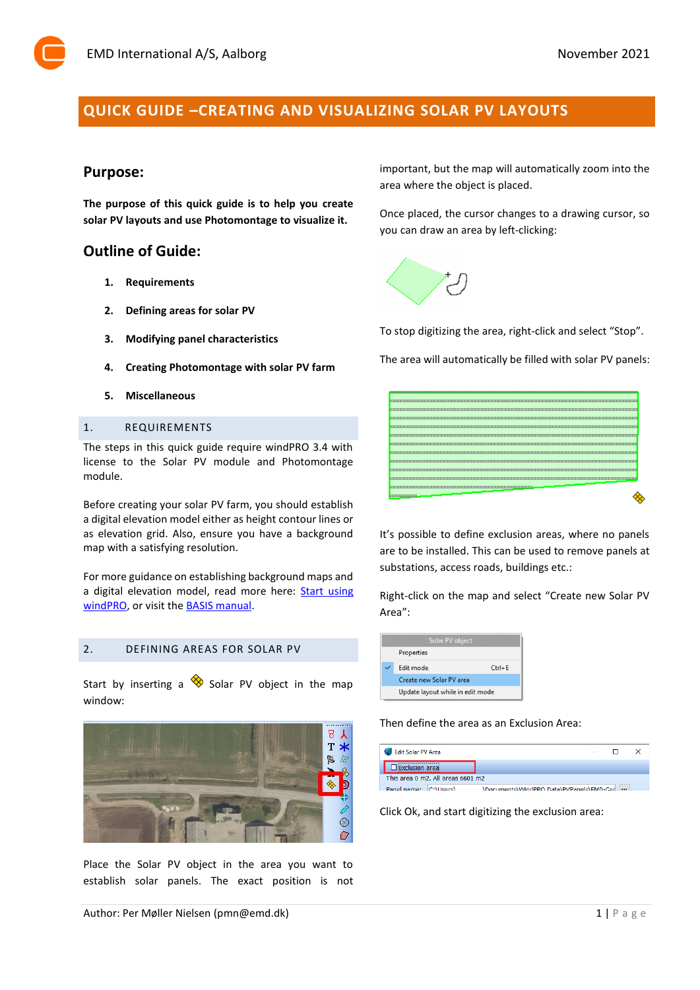# **QUICK GUIDE –CREATING AND VISUALIZING SOLAR PV LAYOUTS**

# **Purpose:**

**The purpose of this quick guide is to help you create solar PV layouts and use Photomontage to visualize it.**

# **Outline of Guide:**

- **1. Requirements**
- **2. Defining areas for solar PV**
- **3. Modifying panel characteristics**
- **4. Creating Photomontage with solar PV farm**
- **5. Miscellaneous**

### 1. REQUIREMENTS

The steps in this quick guide require windPRO 3.4 with license to the Solar PV module and Photomontage module.

Before creating your solar PV farm, you should establish a digital elevation model either as height contour lines or as elevation grid. Also, ensure you have a background map with a satisfying resolution.

For more guidance on establishing background maps and a digital elevation model, read more here: Start using [windPRO,](http://help.emd.dk/knowledgebase/content/Guides/Quick_Guide_windPRO_3.2_START.pdf) or visit the **BASIS** manual.

## 2. DEFINING AREAS FOR SOLAR PV

Start by inserting a  $\otimes$  Solar PV object in the map window:



Place the Solar PV object in the area you want to establish solar panels. The exact position is not important, but the map will automatically zoom into the area where the object is placed.

Once placed, the cursor changes to a drawing cursor, so you can draw an area by left-clicking:



To stop digitizing the area, right-click and select "Stop".

The area will automatically be filled with solar PV panels:



It's possible to define exclusion areas, where no panels are to be installed. This can be used to remove panels at substations, access roads, buildings etc.:

Right-click on the map and select "Create new Solar PV Area":



Then define the area as an Exclusion Area:

| <b>Edit Solar PV Area</b>         | -                                       |          |
|-----------------------------------|-----------------------------------------|----------|
| usion areal                       |                                         |          |
| This area 0 m2. All areas 6601 m2 |                                         |          |
| $ C(1) $ leare)<br>Panel name:    | Documents\WindPRO Data\PVPanels\EMD-Ger | $\cdots$ |

Click Ok, and start digitizing the exclusion area: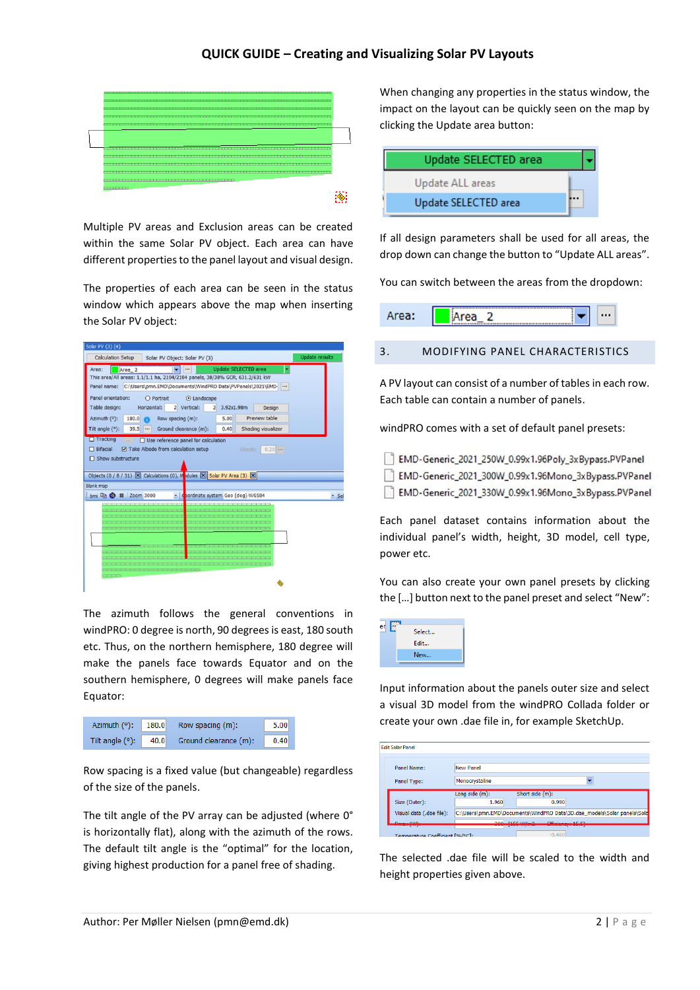## **QUICK GUIDE – Creating and Visualizing Solar PV Layouts**



Multiple PV areas and Exclusion areas can be created within the same Solar PV object. Each area can have different properties to the panel layout and visual design.

The properties of each area can be seen in the status window which appears above the map when inserting the Solar PV object:

| <b>Calculation Setup</b><br>Solar PV Object: Solar PV (3)                             |                       |
|---------------------------------------------------------------------------------------|-----------------------|
|                                                                                       | <b>Update results</b> |
| <b>Update SELECTED area</b><br>Area:<br>Area <sub>2</sub>                             |                       |
| This area/All areas: 1.1/1.1 ha, 2104/2104 panels, 38/38% GCR, 631.2/631 kW           |                       |
| C:\Users\pmn.EMD\Documents\WindPRO Data\PVPanels\2021\EMD-<br>Panel name:             |                       |
| Panel orientation:<br>O Portrait<br>⊙ Landscape                                       |                       |
| Table design:<br>Horizontal:<br>2 Vertical:<br>3.92x1.98m<br>$\overline{2}$<br>Design |                       |
| Preview table<br>180.0<br>Azimuth (°):<br>Row spacing (m):<br>5.00<br>m               |                       |
| Tilt angle $(°)$ :<br>39.5<br>Ground clearance (m):<br>Shading visualizer<br>0.40<br> |                       |
| $\Box$ Tracking<br>$\Box$ Use reference panel for calculation<br>$\cdots$             |                       |
| $\Box$ Bifacial<br>Take Albedo from calculation setup<br>Albedo:<br>$0.20$            |                       |
| □ Show substructure                                                                   |                       |
|                                                                                       |                       |
| Objects (0 / 8 / 31) X Calculations (0), Modules X Solar PV Area (3) X                |                       |
| <b>Blank map</b>                                                                      |                       |
| bmi h ( # Zoom 3000<br>pordinate system Geo [deg]-WGS84<br>×                          | " Sel                 |
|                                                                                       |                       |
|                                                                                       |                       |
|                                                                                       |                       |
|                                                                                       |                       |
| ---                                                                                   |                       |
|                                                                                       |                       |
|                                                                                       |                       |
|                                                                                       |                       |
|                                                                                       |                       |
|                                                                                       |                       |

The azimuth follows the general conventions in windPRO: 0 degree is north, 90 degrees is east, 180 south etc. Thus, on the northern hemisphere, 180 degree will make the panels face towards Equator and on the southern hemisphere, 0 degrees will make panels face Equator:



Row spacing is a fixed value (but changeable) regardless of the size of the panels.

The tilt angle of the PV array can be adjusted (where 0° is horizontally flat), along with the azimuth of the rows. The default tilt angle is the "optimal" for the location, giving highest production for a panel free of shading.

When changing any properties in the status window, the impact on the layout can be quickly seen on the map by clicking the Update area button:

| Update SELECTED area |  |
|----------------------|--|
| Update ALL areas     |  |
| Update SELECTED area |  |

If all design parameters shall be used for all areas, the drop down can change the button to "Update ALL areas".

You can switch between the areas from the dropdown:



A PV layout can consist of a number of tables in each row. Each table can contain a number of panels.

windPRO comes with a set of default panel presets:

- EMD-Generic 2021 250W 0.99x1.96Poly 3xBypass.PVPanel EMD-Generic\_2021\_300W\_0.99x1.96Mono\_3xBypass.PVPanel
- EMD-Generic\_2021\_330W\_0.99x1.96Mono\_3xBypass.PVPanel

Each panel dataset contains information about the individual panel's width, height, 3D model, cell type, power etc.

You can also create your own panel presets by clicking the […] button next to the panel preset and select "New":



Input information about the panels outer size and select a visual 3D model from the windPRO Collada folder or create your own .dae file in, for example SketchUp.

| <b>Edit Solar Panel</b>        |                            |                          |                                                                         |
|--------------------------------|----------------------------|--------------------------|-------------------------------------------------------------------------|
|                                |                            |                          |                                                                         |
| Panel Name:                    | <b>New Panel</b>           |                          |                                                                         |
| Panel Type:                    | Monocrystaline             |                          |                                                                         |
| Size (Outer):                  | Long side $(m)$ :<br>1.960 | Short side (m):<br>0.990 |                                                                         |
| Visual data (.dae file):       |                            |                          | C:\Users\pmn.EMD\Documents\WindPRO Data\3D.dae_models\Solar panels\Sola |
| $\cdots$ from                  | $200 \pm 155$              | <b>CONTRACTOR</b>        |                                                                         |
| Tomnoraturo Coofficiont [%/%C] |                            | $-0.460$                 |                                                                         |

The selected .dae file will be scaled to the width and height properties given above.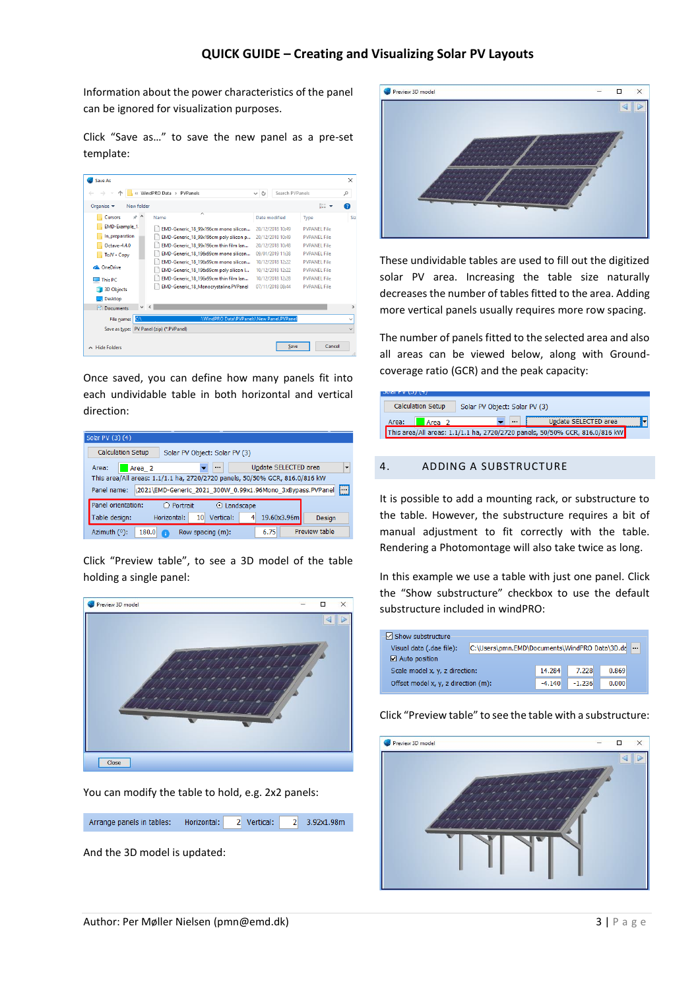Information about the power characteristics of the panel can be ignored for visualization purposes.

Click "Save as…" to save the new panel as a pre-set template:

|                                              | « WindPRO Data > PVPanels                | Search PVP anels<br>Õ<br>$\checkmark$ |                     | م |
|----------------------------------------------|------------------------------------------|---------------------------------------|---------------------|---|
| Organise $\blacktriangleright$<br>New folder |                                          |                                       | 胆子                  | Q |
| $+$ ^<br>Cursors                             | Name                                     | Date modified                         | Type                |   |
| <b>EMD-Example 1</b>                         | EMD-Generic 18 99x196cm mono silicon     | 20/12/2018 10:49                      | <b>PVPANEL File</b> |   |
| In preparation                               | EMD-Generic 18 99x196cm poly silicon p   | 20/12/2018 10:49                      | <b>PVPANEL File</b> |   |
| Octave-4.4.0                                 | EMD-Generic 18 99x196cm thin film lan    | 20/12/2018 10:48                      | <b>PVPANFL File</b> |   |
| ToJV - Copy                                  | EMD-Generic 18 196x99cm mono silicon     | 09/01/2019 11:38                      | <b>PVPANEL File</b> |   |
|                                              | EMD-Generic 18 196x99cm mono silicon     | 10/12/2018 12:22                      | <b>PVPANEL File</b> |   |
| <b>Ga.</b> OneDrive                          | EMD-Generic 18 196x99cm poly silicon I   | 10/12/2018 12:22                      | <b>PVPANEL File</b> |   |
| <b>This PC</b>                               | EMD-Generic 18 196x99cm thin film lan    | 10/12/2018 12:28                      | <b>PVPANFI File</b> |   |
| <b>3D Objects</b>                            | EMD-Generic_18_Monocrystaline.PVPanel    | 07/11/2018 08:44                      | <b>PVPANEL File</b> |   |
| <b>Desktop</b>                               |                                          |                                       |                     |   |
| $\vee$ <<br>Documents<br>圖                   |                                          |                                       |                     |   |
| CA<br>File name:                             | \WindPRO Data\PVPanels\New Panel.PVPanel |                                       |                     |   |
| Save as type:                                | PV Panel (zip) (*.PVPanel)               |                                       |                     |   |

Once saved, you can define how many panels fit into each undividable table in both horizontal and vertical direction:

| Solar PV (3) (4)           |                                                                             |
|----------------------------|-----------------------------------------------------------------------------|
| <b>Calculation Setup</b>   | Solar PV Object: Solar PV (3)                                               |
| Area:<br>Area <sub>2</sub> | Update SELECTED area<br>۰<br>$\cdots$                                       |
|                            | This area/All areas: 1.1/1.1 ha, 2720/2720 panels, 50/50% GCR, 816.0/816 kW |
| Panel name:                | $\Box$<br>\2021\EMD-Generic 2021 300W 0.99x1.96Mono 3xBypass.PVPanel        |
| Panel orientation:         | O Portrait<br>O Landscape                                                   |
| Table design:              | Horizontal:<br>Vertical:<br>19.60x3.96m<br>10<br>4<br>Design                |
| Azimuth (°):<br>180.0      | Preview table<br>6.75<br>Row spacing (m):                                   |

Click "Preview table", to see a 3D model of the table holding a single panel:



You can modify the table to hold, e.g. 2x2 panels:

| Arrange panels in tables: Horizontal: 2 Vertical: |  |  | 2 3.92x1.98m |
|---------------------------------------------------|--|--|--------------|
|                                                   |  |  |              |

And the 3D model is updated:



These undividable tables are used to fill out the digitized solar PV area. Increasing the table size naturally decreases the number of tables fitted to the area. Adding more vertical panels usually requires more row spacing.

The number of panels fitted to the selected area and also all areas can be viewed below, along with Groundcoverage ratio (GCR) and the peak capacity:

| <i>ו</i> ד \ <i>נ</i> ט \ ד ומו | <b>Calculation Setup</b> | Solar PV Object: Solar PV (3) |          |                                                                             |  |
|---------------------------------|--------------------------|-------------------------------|----------|-----------------------------------------------------------------------------|--|
| Area:                           | Area <sub>2</sub>        |                               | $\cdots$ | Update SELECTED area                                                        |  |
|                                 |                          |                               |          | This area/All areas: 1.1/1.1 ha, 2720/2720 panels, 50/50% GCR, 816.0/816 kW |  |

#### 4. ADDING A SUBSTRUCTURE

It is possible to add a mounting rack, or substructure to the table. However, the substructure requires a bit of manual adjustment to fit correctly with the table. Rendering a Photomontage will also take twice as long.

In this example we use a table with just one panel. Click the "Show substructure" checkbox to use the default substructure included in windPRO:



#### Click "Preview table" to see the table with a substructure:

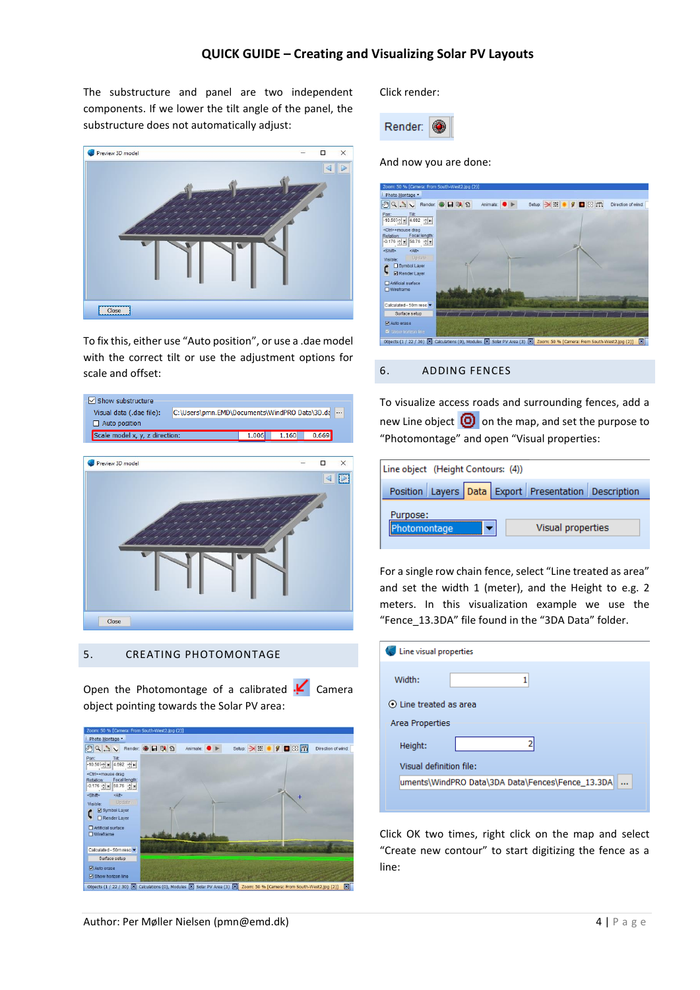## **QUICK GUIDE – Creating and Visualizing Solar PV Layouts**

The substructure and panel are two independent components. If we lower the tilt angle of the panel, the substructure does not automatically adjust:



To fix this, either use "Auto position", or use a .dae model with the correct tilt or use the adjustment options for scale and offset:



### 5. CREATING PHOTOMONTAGE

Open the Photomontage of a calibrated  $\textbf{F}$  Camera object pointing towards the Solar PV area:



Click render:



And now you are done:



#### 6. ADDING FENCES

To visualize access roads and surrounding fences, add a new Line object  $\left[ \bigcirc \right]$  on the map, and set the purpose to "Photomontage" and open "Visual properties:

| Line object (Height Contours: (4)) |                                                      |
|------------------------------------|------------------------------------------------------|
|                                    | Position Layers Data Export Presentation Description |
| Purpose:                           |                                                      |
| Photomontage                       | Visual properties                                    |
|                                    |                                                      |

For a single row chain fence, select "Line treated as area" and set the width 1 (meter), and the Height to e.g. 2 meters. In this visualization example we use the "Fence\_13.3DA" file found in the "3DA Data" folder.

| Line visual properties                           |
|--------------------------------------------------|
|                                                  |
| Width:<br>1                                      |
| $\odot$ Line treated as area                     |
| Area Properties                                  |
| Height:                                          |
| Visual definition file:                          |
| uments\WindPRO Data\3DA Data\Fences\Fence_13.3DA |
|                                                  |

Click OK two times, right click on the map and select "Create new contour" to start digitizing the fence as a line: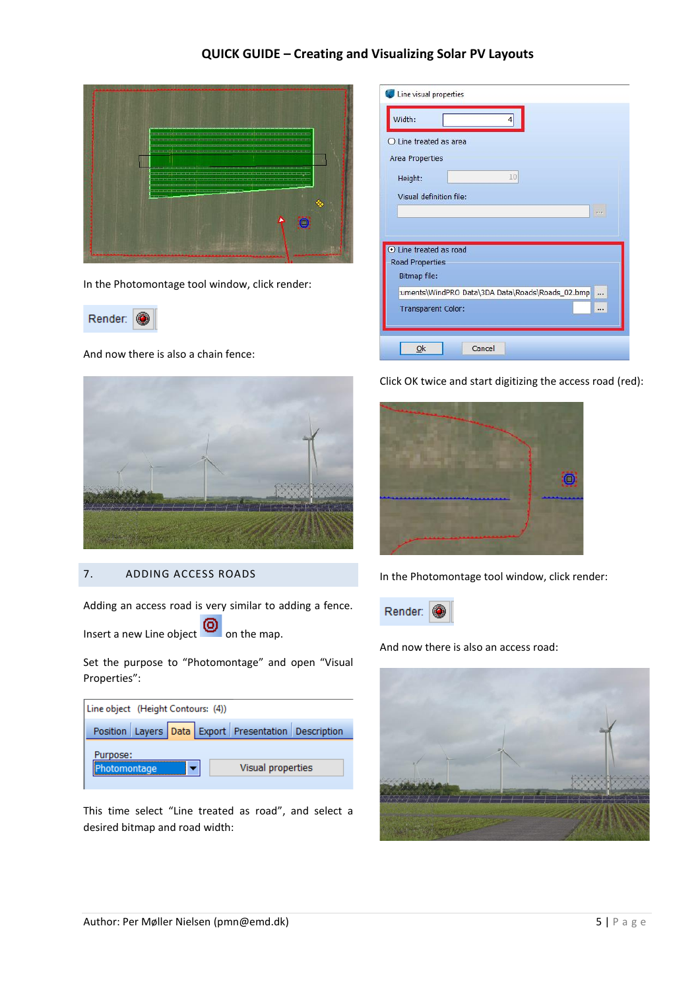## **QUICK GUIDE – Creating and Visualizing Solar PV Layouts**



In the Photomontage tool window, click render:



And now there is also a chain fence:



### 7. ADDING ACCESS ROADS

Adding an access road is very similar to adding a fence.

Insert a new Line object  $\bigcirc$  on the map.

Set the purpose to "Photomontage" and open "Visual Properties":

| Line object (Height Contours: (4)) |                                                      |
|------------------------------------|------------------------------------------------------|
|                                    | Position Layers Data Export Presentation Description |
| Purpose:<br>hotomontage            | Visual properties                                    |

This time select "Line treated as road", and select a desired bitmap and road width:

| Width:                  |                                                      |
|-------------------------|------------------------------------------------------|
| O Line treated as area  |                                                      |
| Area Properties         |                                                      |
| Height:                 | 10                                                   |
|                         |                                                      |
| Visual definition file: |                                                      |
|                         |                                                      |
|                         |                                                      |
| tine treated as road    |                                                      |
| Road Properties         |                                                      |
| <b>Bitmap file:</b>     |                                                      |
|                         | :uments\WindPRO Data\3DA Data\Roads\Roads_02.bmp<br> |

Click OK twice and start digitizing the access road (red):



In the Photomontage tool window, click render:



And now there is also an access road: